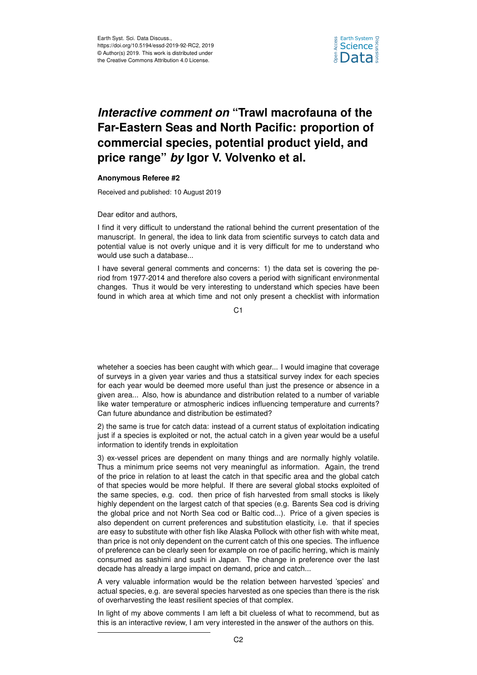

## *Interactive comment on* **"Trawl macrofauna of the Far-Eastern Seas and North Pacific: proportion of commercial species, potential product yield, and price range"** *by* **Igor V. Volvenko et al.**

## **Anonymous Referee #2**

Received and published: 10 August 2019

Dear editor and authors,

I find it very difficult to understand the rational behind the current presentation of the manuscript. In general, the idea to link data from scientific surveys to catch data and potential value is not overly unique and it is very difficult for me to understand who would use such a database...

I have several general comments and concerns: 1) the data set is covering the period from 1977-2014 and therefore also covers a period with significant environmental changes. Thus it would be very interesting to understand which species have been found in which area at which time and not only present a checklist with information

C1

wheteher a soecies has been caught with which gear... I would imagine that coverage of surveys in a given year varies and thus a statsitical survey index for each species for each year would be deemed more useful than just the presence or absence in a given area... Also, how is abundance and distribution related to a number of variable like water temperature or atmospheric indices influencing temperature and currents? Can future abundance and distribution be estimated?

2) the same is true for catch data: instead of a current status of exploitation indicating just if a species is exploited or not, the actual catch in a given year would be a useful information to identify trends in exploitation

3) ex-vessel prices are dependent on many things and are normally highly volatile. Thus a minimum price seems not very meaningful as information. Again, the trend of the price in relation to at least the catch in that specific area and the global catch of that species would be more helpful. If there are several global stocks exploited of the same species, e.g. cod. then price of fish harvested from small stocks is likely highly dependent on the largest catch of that species (e.g. Barents Sea cod is driving the global price and not North Sea cod or Baltic cod...). Price of a given species is also dependent on current preferences and substitution elasticity, i.e. that if species are easy to substitute with other fish like Alaska Pollock with other fish with white meat, than price is not only dependent on the current catch of this one species. The influence of preference can be clearly seen for example on roe of pacific herring, which is mainly consumed as sashimi and sushi in Japan. The change in preference over the last decade has already a large impact on demand, price and catch...

A very valuable information would be the relation between harvested 'species' and actual species, e.g. are several species harvested as one species than there is the risk of overharvesting the least resilient species of that complex.

In light of my above comments I am left a bit clueless of what to recommend, but as this is an interactive review, I am very interested in the answer of the authors on this.